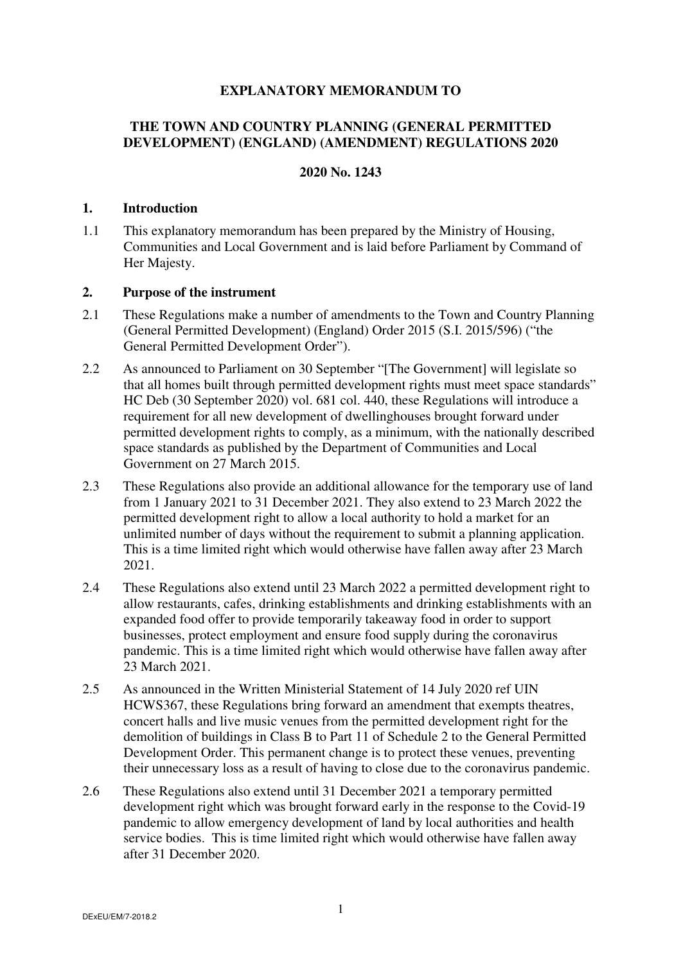# **EXPLANATORY MEMORANDUM TO**

# **THE TOWN AND COUNTRY PLANNING (GENERAL PERMITTED DEVELOPMENT) (ENGLAND) (AMENDMENT) REGULATIONS 2020**

# **2020 No. 1243**

#### **1. Introduction**

1.1 This explanatory memorandum has been prepared by the Ministry of Housing, Communities and Local Government and is laid before Parliament by Command of Her Majesty.

# **2. Purpose of the instrument**

- 2.1 These Regulations make a number of amendments to the Town and Country Planning (General Permitted Development) (England) Order 2015 (S.I. 2015/596) ("the General Permitted Development Order").
- 2.2 As announced to Parliament on 30 September "[The Government] will legislate so that all homes built through permitted development rights must meet space standards" HC Deb (30 September 2020) vol. 681 col. 440, these Regulations will introduce a requirement for all new development of dwellinghouses brought forward under permitted development rights to comply, as a minimum, with the nationally described space standards as published by the Department of Communities and Local Government on 27 March 2015.
- 2.3 These Regulations also provide an additional allowance for the temporary use of land from 1 January 2021 to 31 December 2021. They also extend to 23 March 2022 the permitted development right to allow a local authority to hold a market for an unlimited number of days without the requirement to submit a planning application. This is a time limited right which would otherwise have fallen away after 23 March 2021.
- 2.4 These Regulations also extend until 23 March 2022 a permitted development right to allow restaurants, cafes, drinking establishments and drinking establishments with an expanded food offer to provide temporarily takeaway food in order to support businesses, protect employment and ensure food supply during the coronavirus pandemic. This is a time limited right which would otherwise have fallen away after 23 March 2021.
- 2.5 As announced in the Written Ministerial Statement of 14 July 2020 ref UIN HCWS367, these Regulations bring forward an amendment that exempts theatres, concert halls and live music venues from the permitted development right for the demolition of buildings in Class B to Part 11 of Schedule 2 to the General Permitted Development Order. This permanent change is to protect these venues, preventing their unnecessary loss as a result of having to close due to the coronavirus pandemic.
- 2.6 These Regulations also extend until 31 December 2021 a temporary permitted development right which was brought forward early in the response to the Covid-19 pandemic to allow emergency development of land by local authorities and health service bodies. This is time limited right which would otherwise have fallen away after 31 December 2020.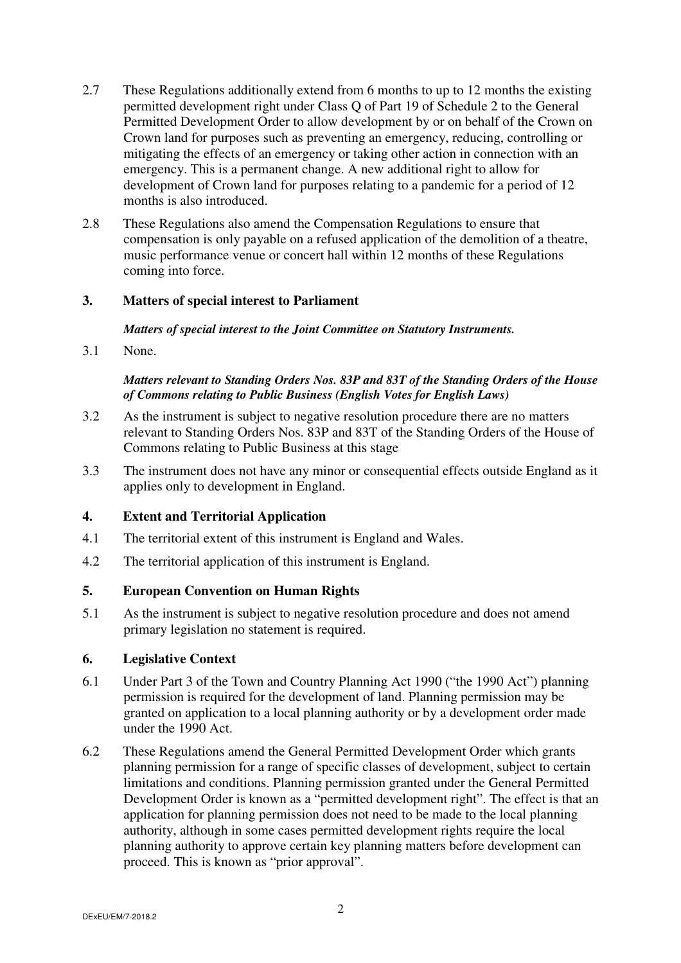- 2.7 These Regulations additionally extend from 6 months to up to 12 months the existing permitted development right under Class Q of Part 19 of Schedule 2 to the General Permitted Development Order to allow development by or on behalf of the Crown on Crown land for purposes such as preventing an emergency, reducing, controlling or mitigating the effects of an emergency or taking other action in connection with an emergency. This is a permanent change. A new additional right to allow for development of Crown land for purposes relating to a pandemic for a period of 12 months is also introduced.
- 2.8 These Regulations also amend the Compensation Regulations to ensure that compensation is only payable on a refused application of the demolition of a theatre, music performance venue or concert hall within 12 months of these Regulations coming into force.

# **3. Matters of special interest to Parliament**

#### *Matters of special interest to the Joint Committee on Statutory Instruments.*

3.1 None.

# *Matters relevant to Standing Orders Nos. 83P and 83T of the Standing Orders of the House of Commons relating to Public Business (English Votes for English Laws)*

- 3.2 As the instrument is subject to negative resolution procedure there are no matters relevant to Standing Orders Nos. 83P and 83T of the Standing Orders of the House of Commons relating to Public Business at this stage
- 3.3 The instrument does not have any minor or consequential effects outside England as it applies only to development in England.

# **4. Extent and Territorial Application**

- 4.1 The territorial extent of this instrument is England and Wales.
- 4.2 The territorial application of this instrument is England.

# **5. European Convention on Human Rights**

5.1 As the instrument is subject to negative resolution procedure and does not amend primary legislation no statement is required.

# **6. Legislative Context**

- 6.1 Under Part 3 of the Town and Country Planning Act 1990 ("the 1990 Act") planning permission is required for the development of land. Planning permission may be granted on application to a local planning authority or by a development order made under the 1990 Act.
- 6.2 These Regulations amend the General Permitted Development Order which grants planning permission for a range of specific classes of development, subject to certain limitations and conditions. Planning permission granted under the General Permitted Development Order is known as a "permitted development right". The effect is that an application for planning permission does not need to be made to the local planning authority, although in some cases permitted development rights require the local planning authority to approve certain key planning matters before development can proceed. This is known as "prior approval".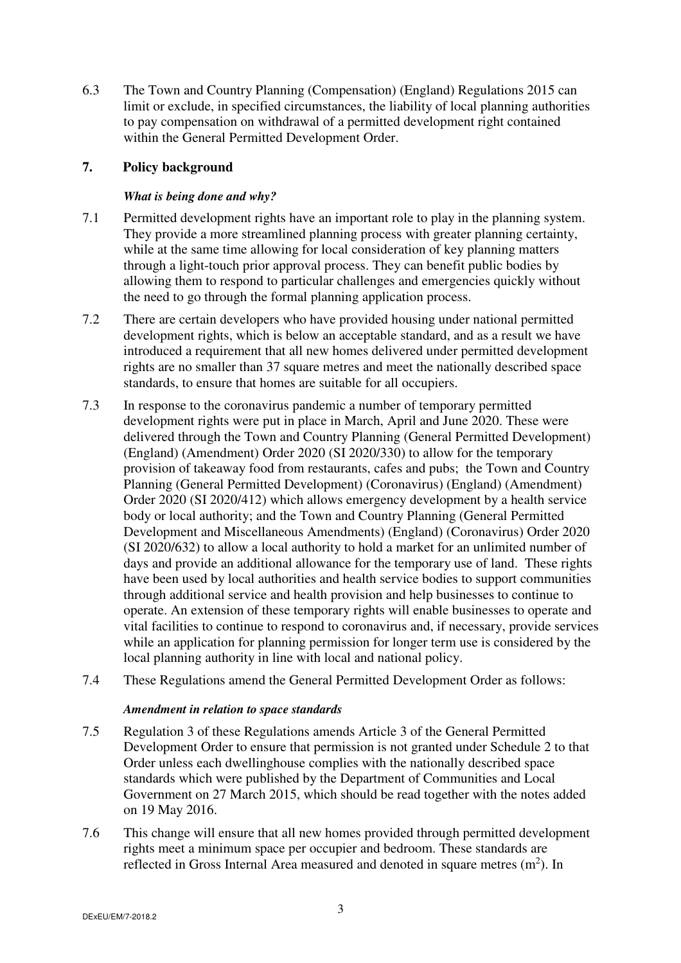6.3 The Town and Country Planning (Compensation) (England) Regulations 2015 can limit or exclude, in specified circumstances, the liability of local planning authorities to pay compensation on withdrawal of a permitted development right contained within the General Permitted Development Order.

# **7. Policy background**

# *What is being done and why?*

- 7.1 Permitted development rights have an important role to play in the planning system. They provide a more streamlined planning process with greater planning certainty, while at the same time allowing for local consideration of key planning matters through a light-touch prior approval process. They can benefit public bodies by allowing them to respond to particular challenges and emergencies quickly without the need to go through the formal planning application process.
- 7.2 There are certain developers who have provided housing under national permitted development rights, which is below an acceptable standard, and as a result we have introduced a requirement that all new homes delivered under permitted development rights are no smaller than 37 square metres and meet the nationally described space standards, to ensure that homes are suitable for all occupiers.
- 7.3 In response to the coronavirus pandemic a number of temporary permitted development rights were put in place in March, April and June 2020. These were delivered through the Town and Country Planning (General Permitted Development) (England) (Amendment) Order 2020 (SI 2020/330) to allow for the temporary provision of takeaway food from restaurants, cafes and pubs; the Town and Country Planning (General Permitted Development) (Coronavirus) (England) (Amendment) Order 2020 (SI 2020/412) which allows emergency development by a health service body or local authority; and the Town and Country Planning (General Permitted Development and Miscellaneous Amendments) (England) (Coronavirus) Order 2020 (SI 2020/632) to allow a local authority to hold a market for an unlimited number of days and provide an additional allowance for the temporary use of land. These rights have been used by local authorities and health service bodies to support communities through additional service and health provision and help businesses to continue to operate. An extension of these temporary rights will enable businesses to operate and vital facilities to continue to respond to coronavirus and, if necessary, provide services while an application for planning permission for longer term use is considered by the local planning authority in line with local and national policy.
- 7.4 These Regulations amend the General Permitted Development Order as follows:

# *Amendment in relation to space standards*

- 7.5 Regulation 3 of these Regulations amends Article 3 of the General Permitted Development Order to ensure that permission is not granted under Schedule 2 to that Order unless each dwellinghouse complies with the nationally described space standards which were published by the Department of Communities and Local Government on 27 March 2015, which should be read together with the notes added on 19 May 2016.
- 7.6 This change will ensure that all new homes provided through permitted development rights meet a minimum space per occupier and bedroom. These standards are reflected in Gross Internal Area measured and denoted in square metres  $(m<sup>2</sup>)$ . In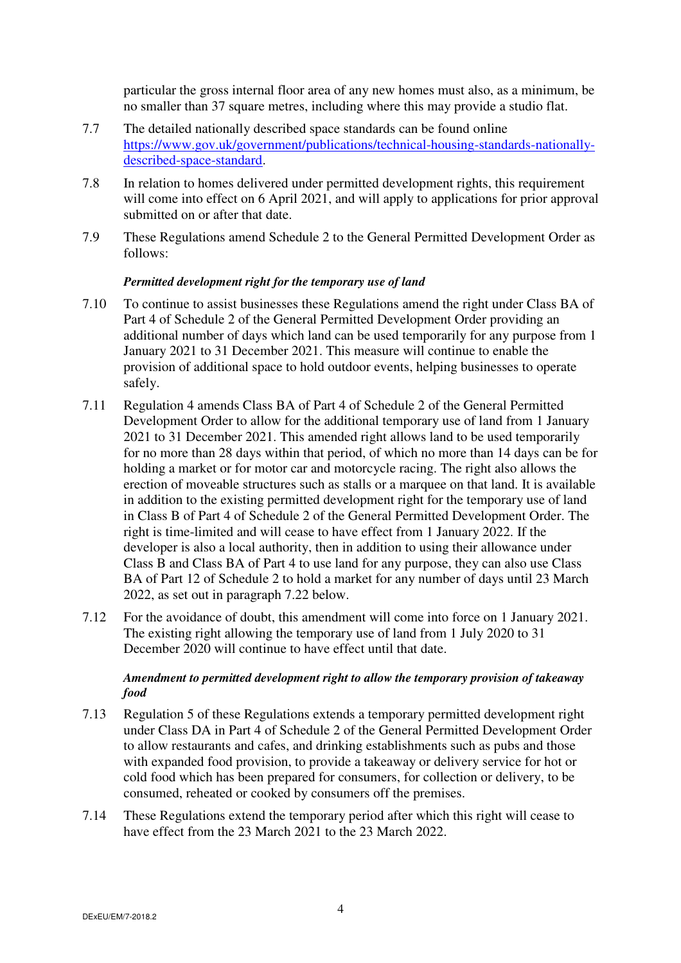particular the gross internal floor area of any new homes must also, as a minimum, be no smaller than 37 square metres, including where this may provide a studio flat.

- 7.7 The detailed nationally described space standards can be found online https://www.gov.uk/government/publications/technical-housing-standards-nationallydescribed-space-standard.
- 7.8 In relation to homes delivered under permitted development rights, this requirement will come into effect on 6 April 2021, and will apply to applications for prior approval submitted on or after that date.
- 7.9 These Regulations amend Schedule 2 to the General Permitted Development Order as follows:

#### *Permitted development right for the temporary use of land*

- 7.10 To continue to assist businesses these Regulations amend the right under Class BA of Part 4 of Schedule 2 of the General Permitted Development Order providing an additional number of days which land can be used temporarily for any purpose from 1 January 2021 to 31 December 2021. This measure will continue to enable the provision of additional space to hold outdoor events, helping businesses to operate safely.
- 7.11 Regulation 4 amends Class BA of Part 4 of Schedule 2 of the General Permitted Development Order to allow for the additional temporary use of land from 1 January 2021 to 31 December 2021. This amended right allows land to be used temporarily for no more than 28 days within that period, of which no more than 14 days can be for holding a market or for motor car and motorcycle racing. The right also allows the erection of moveable structures such as stalls or a marquee on that land. It is available in addition to the existing permitted development right for the temporary use of land in Class B of Part 4 of Schedule 2 of the General Permitted Development Order. The right is time-limited and will cease to have effect from 1 January 2022. If the developer is also a local authority, then in addition to using their allowance under Class B and Class BA of Part 4 to use land for any purpose, they can also use Class BA of Part 12 of Schedule 2 to hold a market for any number of days until 23 March 2022, as set out in paragraph 7.22 below.
- 7.12 For the avoidance of doubt, this amendment will come into force on 1 January 2021. The existing right allowing the temporary use of land from 1 July 2020 to 31 December 2020 will continue to have effect until that date.

# *Amendment to permitted development right to allow the temporary provision of takeaway food*

- 7.13 Regulation 5 of these Regulations extends a temporary permitted development right under Class DA in Part 4 of Schedule 2 of the General Permitted Development Order to allow restaurants and cafes, and drinking establishments such as pubs and those with expanded food provision, to provide a takeaway or delivery service for hot or cold food which has been prepared for consumers, for collection or delivery, to be consumed, reheated or cooked by consumers off the premises.
- 7.14 These Regulations extend the temporary period after which this right will cease to have effect from the 23 March 2021 to the 23 March 2022.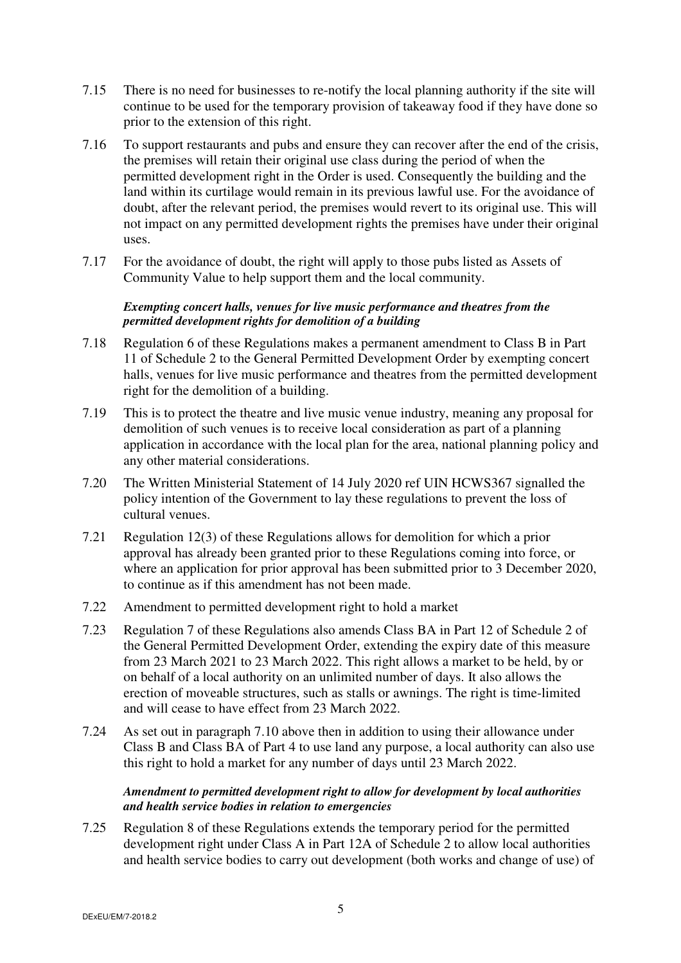- 7.15 There is no need for businesses to re-notify the local planning authority if the site will continue to be used for the temporary provision of takeaway food if they have done so prior to the extension of this right.
- 7.16 To support restaurants and pubs and ensure they can recover after the end of the crisis, the premises will retain their original use class during the period of when the permitted development right in the Order is used. Consequently the building and the land within its curtilage would remain in its previous lawful use. For the avoidance of doubt, after the relevant period, the premises would revert to its original use. This will not impact on any permitted development rights the premises have under their original uses.
- 7.17 For the avoidance of doubt, the right will apply to those pubs listed as Assets of Community Value to help support them and the local community.

#### *Exempting concert halls, venues for live music performance and theatres from the permitted development rights for demolition of a building*

- 7.18 Regulation 6 of these Regulations makes a permanent amendment to Class B in Part 11 of Schedule 2 to the General Permitted Development Order by exempting concert halls, venues for live music performance and theatres from the permitted development right for the demolition of a building.
- 7.19 This is to protect the theatre and live music venue industry, meaning any proposal for demolition of such venues is to receive local consideration as part of a planning application in accordance with the local plan for the area, national planning policy and any other material considerations.
- 7.20 The Written Ministerial Statement of 14 July 2020 ref UIN HCWS367 signalled the policy intention of the Government to lay these regulations to prevent the loss of cultural venues.
- 7.21 Regulation 12(3) of these Regulations allows for demolition for which a prior approval has already been granted prior to these Regulations coming into force, or where an application for prior approval has been submitted prior to 3 December 2020, to continue as if this amendment has not been made.
- 7.22 Amendment to permitted development right to hold a market
- 7.23 Regulation 7 of these Regulations also amends Class BA in Part 12 of Schedule 2 of the General Permitted Development Order, extending the expiry date of this measure from 23 March 2021 to 23 March 2022. This right allows a market to be held, by or on behalf of a local authority on an unlimited number of days. It also allows the erection of moveable structures, such as stalls or awnings. The right is time-limited and will cease to have effect from 23 March 2022.
- 7.24 As set out in paragraph 7.10 above then in addition to using their allowance under Class B and Class BA of Part 4 to use land any purpose, a local authority can also use this right to hold a market for any number of days until 23 March 2022.

# *Amendment to permitted development right to allow for development by local authorities and health service bodies in relation to emergencies*

7.25 Regulation 8 of these Regulations extends the temporary period for the permitted development right under Class A in Part 12A of Schedule 2 to allow local authorities and health service bodies to carry out development (both works and change of use) of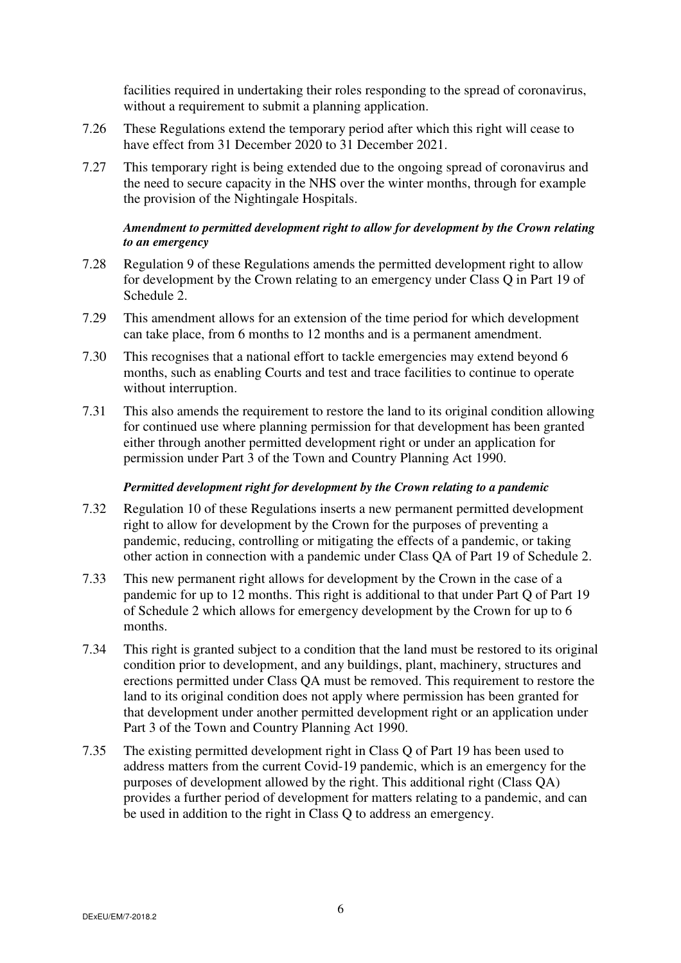facilities required in undertaking their roles responding to the spread of coronavirus, without a requirement to submit a planning application.

- 7.26 These Regulations extend the temporary period after which this right will cease to have effect from 31 December 2020 to 31 December 2021.
- 7.27 This temporary right is being extended due to the ongoing spread of coronavirus and the need to secure capacity in the NHS over the winter months, through for example the provision of the Nightingale Hospitals.

# *Amendment to permitted development right to allow for development by the Crown relating to an emergency*

- 7.28 Regulation 9 of these Regulations amends the permitted development right to allow for development by the Crown relating to an emergency under Class Q in Part 19 of Schedule 2.
- 7.29 This amendment allows for an extension of the time period for which development can take place, from 6 months to 12 months and is a permanent amendment.
- 7.30 This recognises that a national effort to tackle emergencies may extend beyond 6 months, such as enabling Courts and test and trace facilities to continue to operate without interruption.
- 7.31 This also amends the requirement to restore the land to its original condition allowing for continued use where planning permission for that development has been granted either through another permitted development right or under an application for permission under Part 3 of the Town and Country Planning Act 1990.

#### *Permitted development right for development by the Crown relating to a pandemic*

- 7.32 Regulation 10 of these Regulations inserts a new permanent permitted development right to allow for development by the Crown for the purposes of preventing a pandemic, reducing, controlling or mitigating the effects of a pandemic, or taking other action in connection with a pandemic under Class QA of Part 19 of Schedule 2.
- 7.33 This new permanent right allows for development by the Crown in the case of a pandemic for up to 12 months. This right is additional to that under Part Q of Part 19 of Schedule 2 which allows for emergency development by the Crown for up to 6 months.
- 7.34 This right is granted subject to a condition that the land must be restored to its original condition prior to development, and any buildings, plant, machinery, structures and erections permitted under Class QA must be removed. This requirement to restore the land to its original condition does not apply where permission has been granted for that development under another permitted development right or an application under Part 3 of the Town and Country Planning Act 1990.
- 7.35 The existing permitted development right in Class Q of Part 19 has been used to address matters from the current Covid-19 pandemic, which is an emergency for the purposes of development allowed by the right. This additional right (Class QA) provides a further period of development for matters relating to a pandemic, and can be used in addition to the right in Class Q to address an emergency.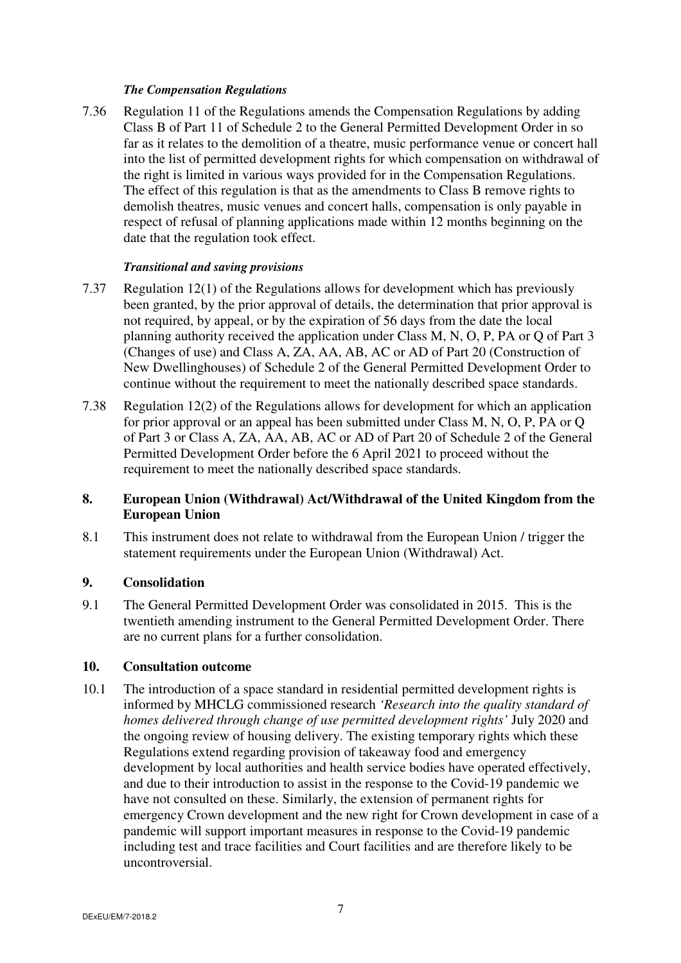#### *The Compensation Regulations*

7.36 Regulation 11 of the Regulations amends the Compensation Regulations by adding Class B of Part 11 of Schedule 2 to the General Permitted Development Order in so far as it relates to the demolition of a theatre, music performance venue or concert hall into the list of permitted development rights for which compensation on withdrawal of the right is limited in various ways provided for in the Compensation Regulations. The effect of this regulation is that as the amendments to Class B remove rights to demolish theatres, music venues and concert halls, compensation is only payable in respect of refusal of planning applications made within 12 months beginning on the date that the regulation took effect.

# *Transitional and saving provisions*

- 7.37 Regulation 12(1) of the Regulations allows for development which has previously been granted, by the prior approval of details, the determination that prior approval is not required, by appeal, or by the expiration of 56 days from the date the local planning authority received the application under Class M, N, O, P, PA or Q of Part 3 (Changes of use) and Class A, ZA, AA, AB, AC or AD of Part 20 (Construction of New Dwellinghouses) of Schedule 2 of the General Permitted Development Order to continue without the requirement to meet the nationally described space standards.
- 7.38 Regulation 12(2) of the Regulations allows for development for which an application for prior approval or an appeal has been submitted under Class M, N, O, P, PA or Q of Part 3 or Class A, ZA, AA, AB, AC or AD of Part 20 of Schedule 2 of the General Permitted Development Order before the 6 April 2021 to proceed without the requirement to meet the nationally described space standards.

# **8. European Union (Withdrawal) Act/Withdrawal of the United Kingdom from the European Union**

8.1 This instrument does not relate to withdrawal from the European Union / trigger the statement requirements under the European Union (Withdrawal) Act.

# **9. Consolidation**

9.1 The General Permitted Development Order was consolidated in 2015. This is the twentieth amending instrument to the General Permitted Development Order. There are no current plans for a further consolidation.

# **10. Consultation outcome**

10.1 The introduction of a space standard in residential permitted development rights is informed by MHCLG commissioned research *'Research into the quality standard of homes delivered through change of use permitted development rights'* July 2020 and the ongoing review of housing delivery. The existing temporary rights which these Regulations extend regarding provision of takeaway food and emergency development by local authorities and health service bodies have operated effectively, and due to their introduction to assist in the response to the Covid-19 pandemic we have not consulted on these. Similarly, the extension of permanent rights for emergency Crown development and the new right for Crown development in case of a pandemic will support important measures in response to the Covid-19 pandemic including test and trace facilities and Court facilities and are therefore likely to be uncontroversial.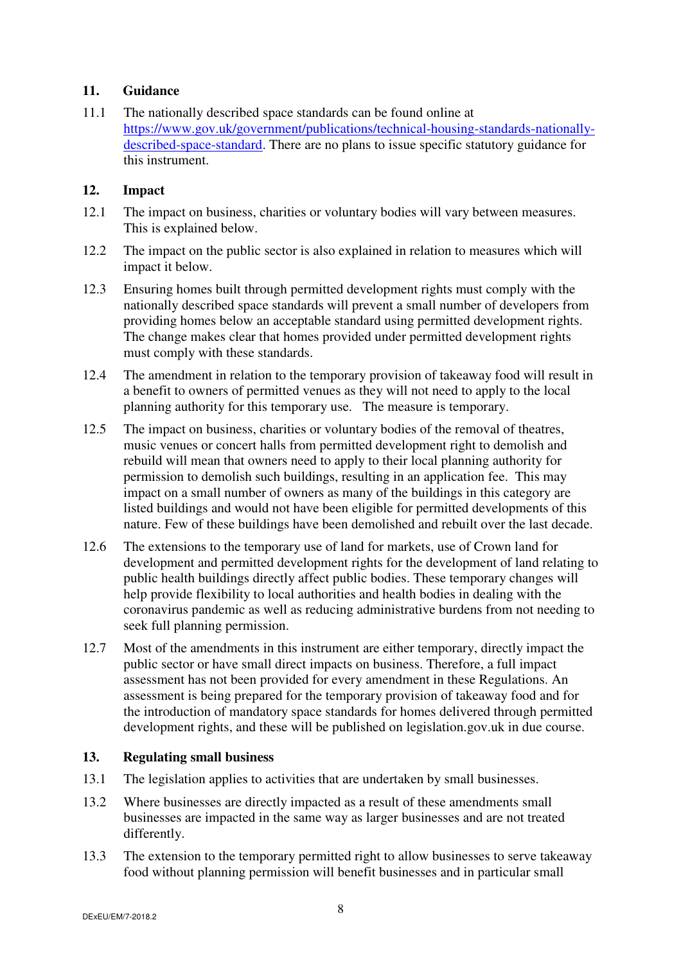# **11. Guidance**

11.1 The nationally described space standards can be found online at https://www.gov.uk/government/publications/technical-housing-standards-nationallydescribed-space-standard. There are no plans to issue specific statutory guidance for this instrument.

# **12. Impact**

- 12.1 The impact on business, charities or voluntary bodies will vary between measures. This is explained below.
- 12.2 The impact on the public sector is also explained in relation to measures which will impact it below.
- 12.3 Ensuring homes built through permitted development rights must comply with the nationally described space standards will prevent a small number of developers from providing homes below an acceptable standard using permitted development rights. The change makes clear that homes provided under permitted development rights must comply with these standards.
- 12.4 The amendment in relation to the temporary provision of takeaway food will result in a benefit to owners of permitted venues as they will not need to apply to the local planning authority for this temporary use. The measure is temporary.
- 12.5 The impact on business, charities or voluntary bodies of the removal of theatres, music venues or concert halls from permitted development right to demolish and rebuild will mean that owners need to apply to their local planning authority for permission to demolish such buildings, resulting in an application fee. This may impact on a small number of owners as many of the buildings in this category are listed buildings and would not have been eligible for permitted developments of this nature. Few of these buildings have been demolished and rebuilt over the last decade.
- 12.6 The extensions to the temporary use of land for markets, use of Crown land for development and permitted development rights for the development of land relating to public health buildings directly affect public bodies. These temporary changes will help provide flexibility to local authorities and health bodies in dealing with the coronavirus pandemic as well as reducing administrative burdens from not needing to seek full planning permission.
- 12.7 Most of the amendments in this instrument are either temporary, directly impact the public sector or have small direct impacts on business. Therefore, a full impact assessment has not been provided for every amendment in these Regulations. An assessment is being prepared for the temporary provision of takeaway food and for the introduction of mandatory space standards for homes delivered through permitted development rights, and these will be published on legislation.gov.uk in due course.

# **13. Regulating small business**

- 13.1 The legislation applies to activities that are undertaken by small businesses.
- 13.2 Where businesses are directly impacted as a result of these amendments small businesses are impacted in the same way as larger businesses and are not treated differently.
- 13.3 The extension to the temporary permitted right to allow businesses to serve takeaway food without planning permission will benefit businesses and in particular small